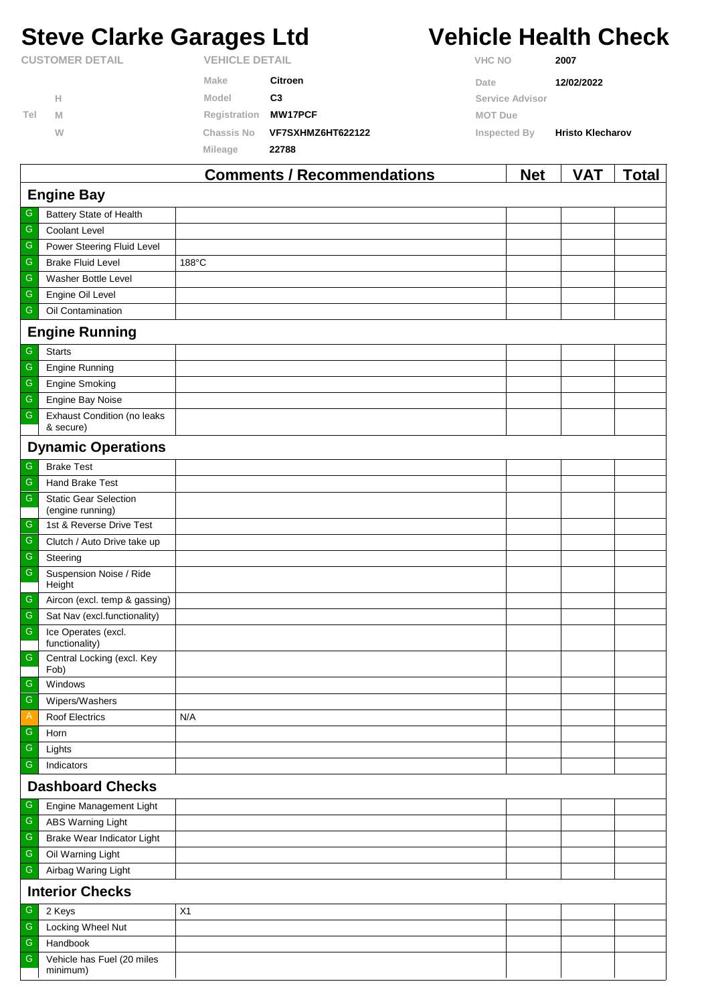# **Steve Clarke Garages Ltd Vehicle Health Check**

|                        |   |              | Comments / Recommendations |                | <b>Net</b>            | VAT                     | Total |
|------------------------|---|--------------|----------------------------|----------------|-----------------------|-------------------------|-------|
|                        |   | Mileage      | 22788                      |                |                       |                         |       |
|                        | W | Chassis No   | VF7SXHMZ6HT622122          |                | Inspected By          | <b>Hristo Klecharov</b> |       |
| Tel                    | M | Registration | <b>MW17PCF</b>             | <b>MOT Due</b> |                       |                         |       |
|                        | Н | Model        | C <sub>3</sub>             |                | Service Advisor       |                         |       |
|                        |   | Make         | Citroen                    | Date           |                       | 12/02/2022              |       |
| <b>CUSTOMER DETAIL</b> |   |              | <b>VEHICLE DETAIL</b>      |                | <b>VHC NO</b><br>2007 |                         |       |

|                         |                                                 | Comments / Recommendations | <b>Net</b> | <b>VAI</b> | <u>i</u> otal |  |  |
|-------------------------|-------------------------------------------------|----------------------------|------------|------------|---------------|--|--|
| <b>Engine Bay</b>       |                                                 |                            |            |            |               |  |  |
| G                       | Battery State of Health                         |                            |            |            |               |  |  |
| ${\mathsf G}$           | Coolant Level                                   |                            |            |            |               |  |  |
| ${\mathsf G}$           | Power Steering Fluid Level                      |                            |            |            |               |  |  |
| ${\mathsf G}$           | <b>Brake Fluid Level</b>                        | 188°C                      |            |            |               |  |  |
| ${\mathsf G}$           | Washer Bottle Level                             |                            |            |            |               |  |  |
| ${\mathsf G}$           | Engine Oil Level                                |                            |            |            |               |  |  |
| ${\mathsf G}$           | Oil Contamination                               |                            |            |            |               |  |  |
|                         | <b>Engine Running</b>                           |                            |            |            |               |  |  |
| ${\mathsf G}$           | <b>Starts</b>                                   |                            |            |            |               |  |  |
| ${\mathsf G}$           | <b>Engine Running</b>                           |                            |            |            |               |  |  |
| ${\mathsf G}$           | <b>Engine Smoking</b>                           |                            |            |            |               |  |  |
| ${\mathsf G}$           | Engine Bay Noise                                |                            |            |            |               |  |  |
| ${\mathsf G}$           | <b>Exhaust Condition (no leaks</b><br>& secure) |                            |            |            |               |  |  |
|                         | <b>Dynamic Operations</b>                       |                            |            |            |               |  |  |
| ${\mathsf G}$           | <b>Brake Test</b>                               |                            |            |            |               |  |  |
| $\overline{\mathbb{G}}$ | Hand Brake Test                                 |                            |            |            |               |  |  |
| ${\mathsf G}$           | <b>Static Gear Selection</b>                    |                            |            |            |               |  |  |
|                         | (engine running)                                |                            |            |            |               |  |  |
| G<br>${\mathsf G}$      | 1st & Reverse Drive Test                        |                            |            |            |               |  |  |
| ${\mathsf G}$           | Clutch / Auto Drive take up                     |                            |            |            |               |  |  |
| ${\mathsf G}$           | Steering                                        |                            |            |            |               |  |  |
|                         | Suspension Noise / Ride<br>Height               |                            |            |            |               |  |  |
| ${\mathsf G}$           | Aircon (excl. temp & gassing)                   |                            |            |            |               |  |  |
| ${\mathsf G}$           | Sat Nav (excl.functionality)                    |                            |            |            |               |  |  |
| ${\mathsf G}$           | Ice Operates (excl.<br>functionality)           |                            |            |            |               |  |  |
| ${\mathsf G}$           | Central Locking (excl. Key                      |                            |            |            |               |  |  |
|                         | Fob)                                            |                            |            |            |               |  |  |
| G                       | Windows                                         |                            |            |            |               |  |  |
| $\mathsf G$             | Wipers/Washers                                  |                            |            |            |               |  |  |
| $\mathsf{A}$            | <b>Roof Electrics</b>                           | N/A                        |            |            |               |  |  |
| G<br>${\mathsf G}$      | Horn                                            |                            |            |            |               |  |  |
| ${\mathsf G}$           | Lights<br>Indicators                            |                            |            |            |               |  |  |
| <b>Dashboard Checks</b> |                                                 |                            |            |            |               |  |  |
| G                       | Engine Management Light                         |                            |            |            |               |  |  |
| ${\mathsf G}$           | <b>ABS Warning Light</b>                        |                            |            |            |               |  |  |
| ${\mathsf G}$           | Brake Wear Indicator Light                      |                            |            |            |               |  |  |
| ${\mathsf G}$           | Oil Warning Light                               |                            |            |            |               |  |  |
| ${\mathsf G}$           | Airbag Waring Light                             |                            |            |            |               |  |  |
| <b>Interior Checks</b>  |                                                 |                            |            |            |               |  |  |
| G                       | 2 Keys                                          | X1                         |            |            |               |  |  |
| ${\mathsf G}$           | Locking Wheel Nut                               |                            |            |            |               |  |  |
| ${\mathsf G}$           | Handbook                                        |                            |            |            |               |  |  |
| ${\mathsf G}$           | Vehicle has Fuel (20 miles<br>minimum)          |                            |            |            |               |  |  |